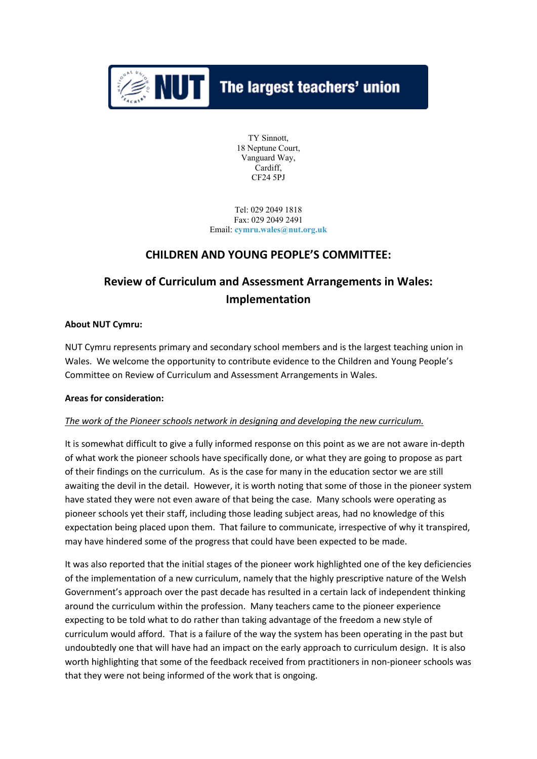

# $\| \cdot \|$  The largest teachers' union

TY Sinnott, 18 Neptune Court, Vanguard Way, Cardiff, CF24 5PJ

Tel: 029 2049 1818 Fax: 029 2049 2491 Email: **[cymru.wales@nut.org.uk](mailto:cymru.wales@nut.org.uk)**

# **CHILDREN AND YOUNG PEOPLE'S COMMITTEE:**

# **Review of Curriculum and Assessment Arrangements in Wales: Implementation**

#### **About NUT Cymru:**

NUT Cymru represents primary and secondary school members and is the largest teaching union in Wales. We welcome the opportunity to contribute evidence to the Children and Young People's Committee on Review of Curriculum and Assessment Arrangements in Wales.

#### **Areas for consideration:**

#### *The work of the Pioneer schools network in designing and developing the new curriculum.*

It is somewhat difficult to give a fully informed response on this point as we are not aware in-depth of what work the pioneer schools have specifically done, or what they are going to propose as part of their findings on the curriculum. As is the case for many in the education sector we are still awaiting the devil in the detail. However, it is worth noting that some of those in the pioneer system have stated they were not even aware of that being the case. Many schools were operating as pioneer schools yet their staff, including those leading subject areas, had no knowledge of this expectation being placed upon them. That failure to communicate, irrespective of why it transpired, may have hindered some of the progress that could have been expected to be made.

It was also reported that the initial stages of the pioneer work highlighted one of the key deficiencies of the implementation of a new curriculum, namely that the highly prescriptive nature of the Welsh Government's approach over the past decade has resulted in a certain lack of independent thinking around the curriculum within the profession. Many teachers came to the pioneer experience expecting to be told what to do rather than taking advantage of the freedom a new style of curriculum would afford. That is a failure of the way the system has been operating in the past but undoubtedly one that will have had an impact on the early approach to curriculum design. It is also worth highlighting that some of the feedback received from practitioners in non-pioneer schools was that they were not being informed of the work that is ongoing.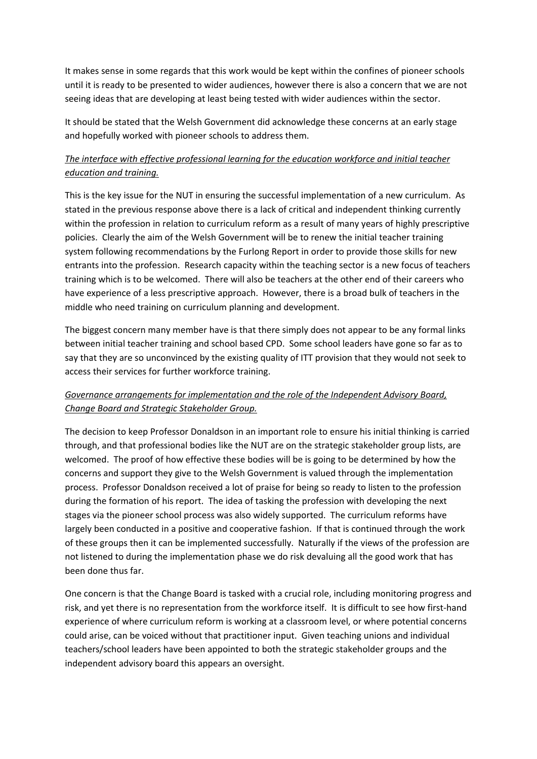It makes sense in some regards that this work would be kept within the confines of pioneer schools until it is ready to be presented to wider audiences, however there is also a concern that we are not seeing ideas that are developing at least being tested with wider audiences within the sector.

It should be stated that the Welsh Government did acknowledge these concerns at an early stage and hopefully worked with pioneer schools to address them.

## *The interface with effective professional learning for the education workforce and initial teacher education and training.*

This is the key issue for the NUT in ensuring the successful implementation of a new curriculum. As stated in the previous response above there is a lack of critical and independent thinking currently within the profession in relation to curriculum reform as a result of many years of highly prescriptive policies. Clearly the aim of the Welsh Government will be to renew the initial teacher training system following recommendations by the Furlong Report in order to provide those skills for new entrants into the profession. Research capacity within the teaching sector is a new focus of teachers training which is to be welcomed. There will also be teachers at the other end of their careers who have experience of a less prescriptive approach. However, there is a broad bulk of teachers in the middle who need training on curriculum planning and development.

The biggest concern many member have is that there simply does not appear to be any formal links between initial teacher training and school based CPD. Some school leaders have gone so far as to say that they are so unconvinced by the existing quality of ITT provision that they would not seek to access their services for further workforce training.

## *Governance arrangements for implementation and the role of the Independent Advisory Board, Change Board and Strategic Stakeholder Group.*

The decision to keep Professor Donaldson in an important role to ensure his initial thinking is carried through, and that professional bodies like the NUT are on the strategic stakeholder group lists, are welcomed. The proof of how effective these bodies will be is going to be determined by how the concerns and support they give to the Welsh Government is valued through the implementation process. Professor Donaldson received a lot of praise for being so ready to listen to the profession during the formation of his report. The idea of tasking the profession with developing the next stages via the pioneer school process was also widely supported. The curriculum reforms have largely been conducted in a positive and cooperative fashion. If that is continued through the work of these groups then it can be implemented successfully. Naturally if the views of the profession are not listened to during the implementation phase we do risk devaluing all the good work that has been done thus far.

One concern is that the Change Board is tasked with a crucial role, including monitoring progress and risk, and yet there is no representation from the workforce itself. It is difficult to see how first-hand experience of where curriculum reform is working at a classroom level, or where potential concerns could arise, can be voiced without that practitioner input. Given teaching unions and individual teachers/school leaders have been appointed to both the strategic stakeholder groups and the independent advisory board this appears an oversight.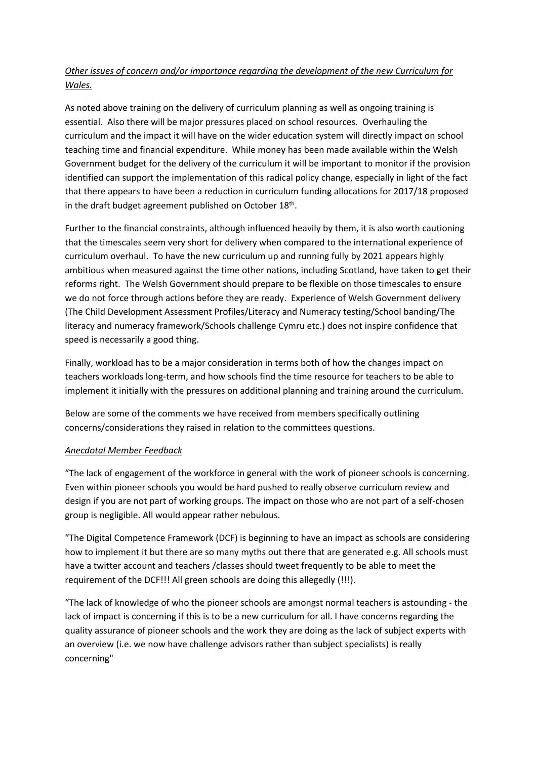## *Other issues of concern and/or importance regarding the development of the new Curriculum for Wales.*

As noted above training on the delivery of curriculum planning as well as ongoing training is essential. Also there will be major pressures placed on school resources. Overhauling the curriculum and the impact it will have on the wider education system will directly impact on school teaching time and financial expenditure. While money has been made available within the Welsh Government budget for the delivery of the curriculum it will be important to monitor if the provision identified can support the implementation of this radical policy change, especially in light of the fact that there appears to have been a reduction in curriculum funding allocations for 2017/18 proposed in the draft budget agreement published on October 18<sup>th</sup>.

Further to the financial constraints, although influenced heavily by them, it is also worth cautioning that the timescales seem very short for delivery when compared to the international experience of curriculum overhaul. To have the new curriculum up and running fully by 2021 appears highly ambitious when measured against the time other nations, including Scotland, have taken to get their reforms right. The Welsh Government should prepare to be flexible on those timescales to ensure we do not force through actions before they are ready. Experience of Welsh Government delivery (The Child Development Assessment Profiles/Literacy and Numeracy testing/School banding/The literacy and numeracy framework/Schools challenge Cymru etc.) does not inspire confidence that speed is necessarily a good thing.

Finally, workload has to be a major consideration in terms both of how the changes impact on teachers workloads long-term, and how schools find the time resource for teachers to be able to implement it initially with the pressures on additional planning and training around the curriculum.

Below are some of the comments we have received from members specifically outlining concerns/considerations they raised in relation to the committees questions.

#### *Anecdotal Member Feedback*

"The lack of engagement of the workforce in general with the work of pioneer schools is concerning. Even within pioneer schools you would be hard pushed to really observe curriculum review and design if you are not part of working groups. The impact on those who are not part of a self-chosen group is negligible. All would appear rather nebulous.

"The Digital Competence Framework (DCF) is beginning to have an impact as schools are considering how to implement it but there are so many myths out there that are generated e.g. All schools must have a twitter account and teachers /classes should tweet frequently to be able to meet the requirement of the DCF!!! All green schools are doing this allegedly (!!!).

"The lack of knowledge of who the pioneer schools are amongst normal teachers is astounding - the lack of impact is concerning if this is to be a new curriculum for all. I have concerns regarding the quality assurance of pioneer schools and the work they are doing as the lack of subject experts with an overview (i.e. we now have challenge advisors rather than subject specialists) is really concerning"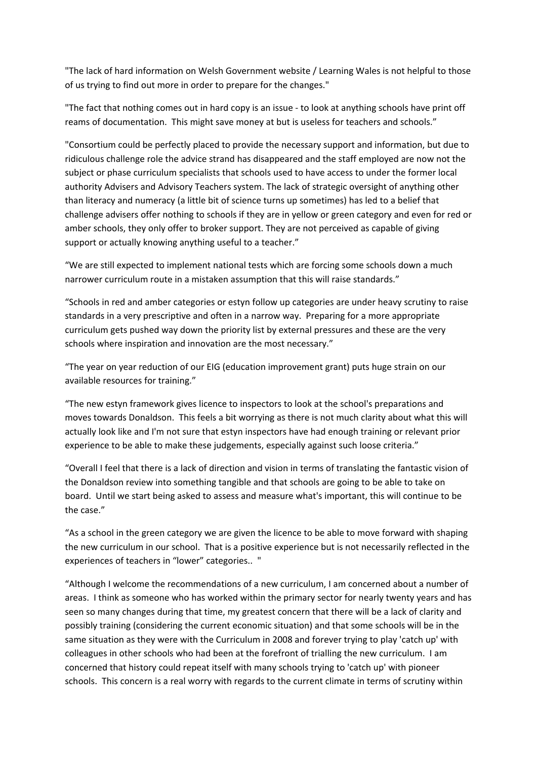"The lack of hard information on Welsh Government website / Learning Wales is not helpful to those of us trying to find out more in order to prepare for the changes."

"The fact that nothing comes out in hard copy is an issue - to look at anything schools have print off reams of documentation. This might save money at but is useless for teachers and schools."

"Consortium could be perfectly placed to provide the necessary support and information, but due to ridiculous challenge role the advice strand has disappeared and the staff employed are now not the subject or phase curriculum specialists that schools used to have access to under the former local authority Advisers and Advisory Teachers system. The lack of strategic oversight of anything other than literacy and numeracy (a little bit of science turns up sometimes) has led to a belief that challenge advisers offer nothing to schools if they are in yellow or green category and even for red or amber schools, they only offer to broker support. They are not perceived as capable of giving support or actually knowing anything useful to a teacher."

"We are still expected to implement national tests which are forcing some schools down a much narrower curriculum route in a mistaken assumption that this will raise standards."

"Schools in red and amber categories or estyn follow up categories are under heavy scrutiny to raise standards in a very prescriptive and often in a narrow way. Preparing for a more appropriate curriculum gets pushed way down the priority list by external pressures and these are the very schools where inspiration and innovation are the most necessary."

"The year on year reduction of our EIG (education improvement grant) puts huge strain on our available resources for training."

"The new estyn framework gives licence to inspectors to look at the school's preparations and moves towards Donaldson. This feels a bit worrying as there is not much clarity about what this will actually look like and I'm not sure that estyn inspectors have had enough training or relevant prior experience to be able to make these judgements, especially against such loose criteria."

"Overall I feel that there is a lack of direction and vision in terms of translating the fantastic vision of the Donaldson review into something tangible and that schools are going to be able to take on board. Until we start being asked to assess and measure what's important, this will continue to be the case."

"As a school in the green category we are given the licence to be able to move forward with shaping the new curriculum in our school. That is a positive experience but is not necessarily reflected in the experiences of teachers in "lower" categories.. "

"Although I welcome the recommendations of a new curriculum, I am concerned about a number of areas. I think as someone who has worked within the primary sector for nearly twenty years and has seen so many changes during that time, my greatest concern that there will be a lack of clarity and possibly training (considering the current economic situation) and that some schools will be in the same situation as they were with the Curriculum in 2008 and forever trying to play 'catch up' with colleagues in other schools who had been at the forefront of trialling the new curriculum. I am concerned that history could repeat itself with many schools trying to 'catch up' with pioneer schools. This concern is a real worry with regards to the current climate in terms of scrutiny within